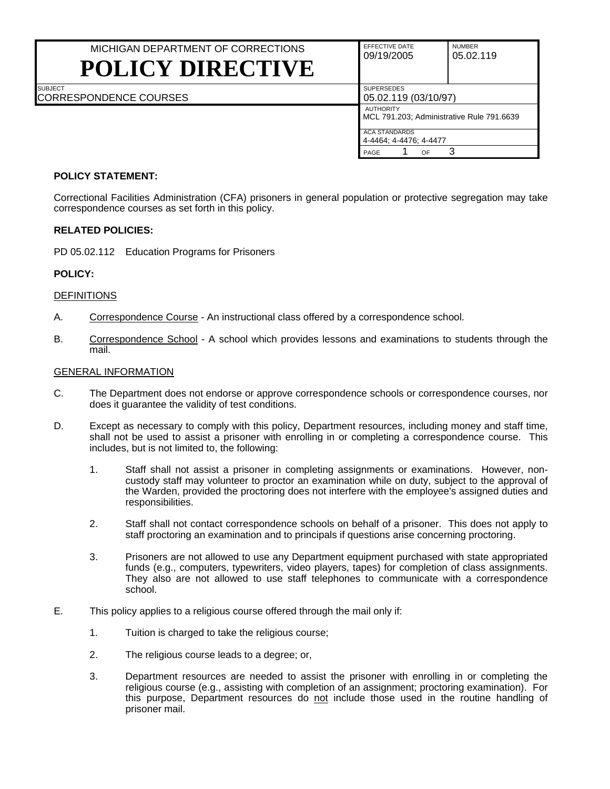# MICHIGAN DEPARTMENT OF CORRECTIONS **POLICY DIRECTIVE**

| EFFECTIVE DATE<br>09/19/2005                                  | <b>NUMBER</b><br>05.02.119 |  |  |  |
|---------------------------------------------------------------|----------------------------|--|--|--|
| <b>SUPERSEDES</b><br>05.02.119 (03/10/97)                     |                            |  |  |  |
| <b>AUTHORITY</b><br>MCL 791.203; Administrative Rule 791.6639 |                            |  |  |  |
| <b>ACA STANDARDS</b><br>4-4464; 4-4476; 4-4477                |                            |  |  |  |
| PAGE<br>ΩF                                                    |                            |  |  |  |

# CORRESPONDENCE COURSES

# **POLICY STATEMENT:**

Correctional Facilities Administration (CFA) prisoners in general population or protective segregation may take correspondence courses as set forth in this policy.

# **RELATED POLICIES:**

PD 05.02.112 Education Programs for Prisoners

# **POLICY:**

**SUBJECT** 

#### **DEFINITIONS**

- A. Correspondence Course An instructional class offered by a correspondence school.
- B. Correspondence School A school which provides lessons and examinations to students through the mail.

#### GENERAL INFORMATION

- C. The Department does not endorse or approve correspondence schools or correspondence courses, nor does it guarantee the validity of test conditions.
- D. Except as necessary to comply with this policy, Department resources, including money and staff time, shall not be used to assist a prisoner with enrolling in or completing a correspondence course. This includes, but is not limited to, the following:
	- 1. Staff shall not assist a prisoner in completing assignments or examinations. However, noncustody staff may volunteer to proctor an examination while on duty, subject to the approval of the Warden, provided the proctoring does not interfere with the employee's assigned duties and responsibilities.
	- 2. Staff shall not contact correspondence schools on behalf of a prisoner. This does not apply to staff proctoring an examination and to principals if questions arise concerning proctoring.
	- 3. Prisoners are not allowed to use any Department equipment purchased with state appropriated funds (e.g., computers, typewriters, video players, tapes) for completion of class assignments. They also are not allowed to use staff telephones to communicate with a correspondence school.
- E. This policy applies to a religious course offered through the mail only if:
	- 1. Tuition is charged to take the religious course;
	- 2. The religious course leads to a degree; or,
	- 3. Department resources are needed to assist the prisoner with enrolling in or completing the religious course (e.g., assisting with completion of an assignment; proctoring examination). For this purpose, Department resources do not include those used in the routine handling of prisoner mail.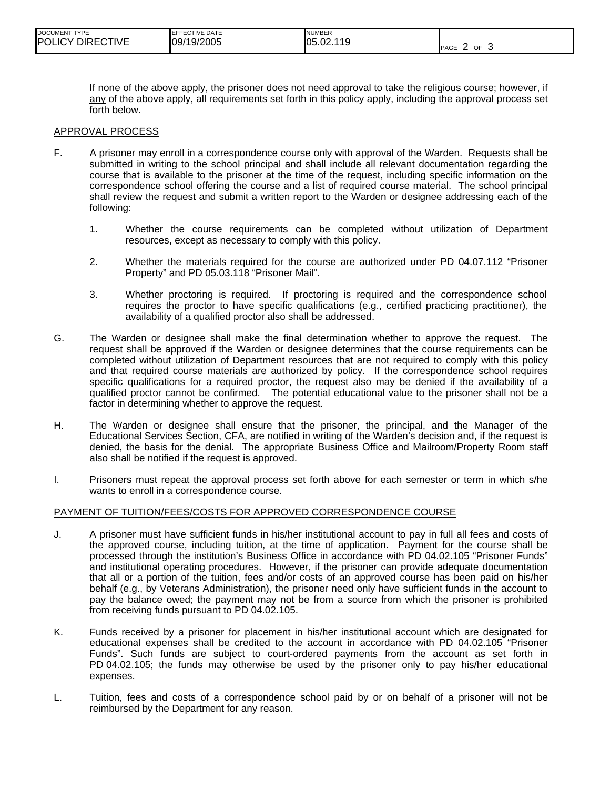| <b>DOCUMENT TYPE</b> | <b>IEFFECTIVE DATE</b> | <b>NUMBER</b> |                        |
|----------------------|------------------------|---------------|------------------------|
| POLICY DIRECTIVE     | 09/19/2005             | 05.02.119     | OF<br><b>PAGE</b><br>w |

If none of the above apply, the prisoner does not need approval to take the religious course; however, if any of the above apply, all requirements set forth in this policy apply, including the approval process set forth below.

#### APPROVAL PROCESS

- F. A prisoner may enroll in a correspondence course only with approval of the Warden. Requests shall be submitted in writing to the school principal and shall include all relevant documentation regarding the course that is available to the prisoner at the time of the request, including specific information on the correspondence school offering the course and a list of required course material. The school principal shall review the request and submit a written report to the Warden or designee addressing each of the following:
	- 1. Whether the course requirements can be completed without utilization of Department resources, except as necessary to comply with this policy.
	- 2. Whether the materials required for the course are authorized under PD 04.07.112 "Prisoner Property" and PD 05.03.118 "Prisoner Mail".
	- 3. Whether proctoring is required. If proctoring is required and the correspondence school requires the proctor to have specific qualifications (e.g., certified practicing practitioner), the availability of a qualified proctor also shall be addressed.
- G. The Warden or designee shall make the final determination whether to approve the request. The request shall be approved if the Warden or designee determines that the course requirements can be completed without utilization of Department resources that are not required to comply with this policy and that required course materials are authorized by policy. If the correspondence school requires specific qualifications for a required proctor, the request also may be denied if the availability of a qualified proctor cannot be confirmed. The potential educational value to the prisoner shall not be a factor in determining whether to approve the request.
- H. The Warden or designee shall ensure that the prisoner, the principal, and the Manager of the Educational Services Section, CFA, are notified in writing of the Warden's decision and, if the request is denied, the basis for the denial. The appropriate Business Office and Mailroom/Property Room staff also shall be notified if the request is approved.
- I. Prisoners must repeat the approval process set forth above for each semester or term in which s/he wants to enroll in a correspondence course.

#### PAYMENT OF TUITION/FEES/COSTS FOR APPROVED CORRESPONDENCE COURSE

- J. A prisoner must have sufficient funds in his/her institutional account to pay in full all fees and costs of the approved course, including tuition, at the time of application. Payment for the course shall be processed through the institution's Business Office in accordance with PD 04.02.105 "Prisoner Funds" and institutional operating procedures. However, if the prisoner can provide adequate documentation that all or a portion of the tuition, fees and/or costs of an approved course has been paid on his/her behalf (e.g., by Veterans Administration), the prisoner need only have sufficient funds in the account to pay the balance owed; the payment may not be from a source from which the prisoner is prohibited from receiving funds pursuant to PD 04.02.105.
- K. Funds received by a prisoner for placement in his/her institutional account which are designated for educational expenses shall be credited to the account in accordance with PD 04.02.105 "Prisoner Funds". Such funds are subject to court-ordered payments from the account as set forth in PD 04.02.105; the funds may otherwise be used by the prisoner only to pay his/her educational expenses.
- L. Tuition, fees and costs of a correspondence school paid by or on behalf of a prisoner will not be reimbursed by the Department for any reason.